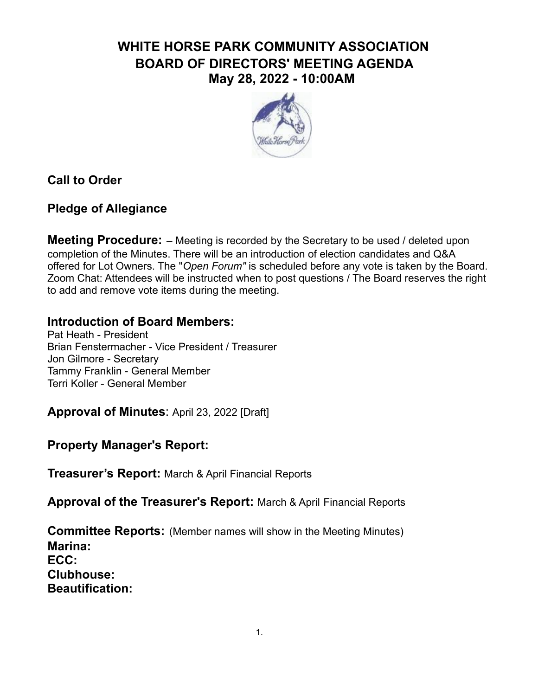# **WHITE HORSE PARK COMMUNITY ASSOCIATION BOARD OF DIRECTORS' MEETING AGENDA May 28, 2022 - 10:00AM**



**Call to Order**

## **Pledge of Allegiance**

**Meeting Procedure:** – Meeting is recorded by the Secretary to be used / deleted upon completion of the Minutes. There will be an introduction of election candidates and Q&A offered for Lot Owners. The "*Open Forum"* is scheduled before any vote is taken by the Board. Zoom Chat: Attendees will be instructed when to post questions / The Board reserves the right to add and remove vote items during the meeting.

## **Introduction of Board Members:**

Pat Heath - President Brian Fenstermacher - Vice President / Treasurer Jon Gilmore - Secretary Tammy Franklin - General Member Terri Koller - General Member

**Approval of Minutes**: April 23, 2022 [Draft]

# **Property Manager's Report:**

**Treasurer's Report:** March & April Financial Reports

**Approval of the Treasurer's Report:** March & April Financial Reports

**Committee Reports:** (Member names will show in the Meeting Minutes) **Marina: ECC: Clubhouse: Beautification:**